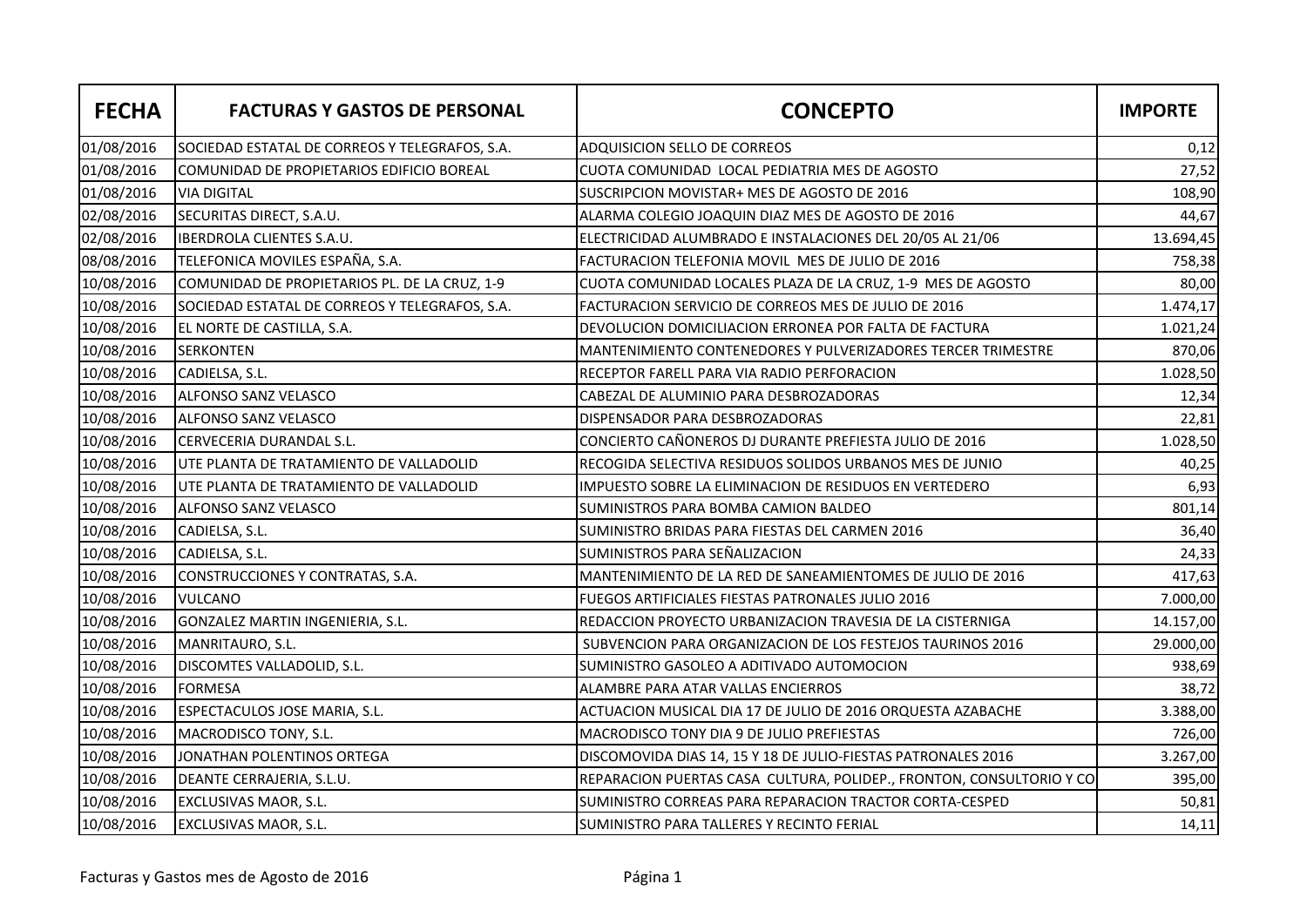| <b>FECHA</b> | <b>FACTURAS Y GASTOS DE PERSONAL</b>           | <b>CONCEPTO</b>                                                      | <b>IMPORTE</b> |
|--------------|------------------------------------------------|----------------------------------------------------------------------|----------------|
| 01/08/2016   | SOCIEDAD ESTATAL DE CORREOS Y TELEGRAFOS, S.A. | ADQUISICION SELLO DE CORREOS                                         | 0,12           |
| 01/08/2016   | COMUNIDAD DE PROPIETARIOS EDIFICIO BOREAL      | CUOTA COMUNIDAD LOCAL PEDIATRIA MES DE AGOSTO                        | 27,52          |
| 01/08/2016   | <b>VIA DIGITAL</b>                             | SUSCRIPCION MOVISTAR+ MES DE AGOSTO DE 2016                          | 108,90         |
| 02/08/2016   | SECURITAS DIRECT, S.A.U.                       | ALARMA COLEGIO JOAQUIN DIAZ MES DE AGOSTO DE 2016                    | 44,67          |
| 02/08/2016   | <b>IBERDROLA CLIENTES S.A.U.</b>               | ELECTRICIDAD ALUMBRADO E INSTALACIONES DEL 20/05 AL 21/06            | 13.694,45      |
| 08/08/2016   | TELEFONICA MOVILES ESPAÑA, S.A.                | FACTURACION TELEFONIA MOVIL MES DE JULIO DE 2016                     | 758,38         |
| 10/08/2016   | COMUNIDAD DE PROPIETARIOS PL. DE LA CRUZ, 1-9  | CUOTA COMUNIDAD LOCALES PLAZA DE LA CRUZ, 1-9 MES DE AGOSTO          | 80,00          |
| 10/08/2016   | SOCIEDAD ESTATAL DE CORREOS Y TELEGRAFOS, S.A. | FACTURACION SERVICIO DE CORREOS MES DE JULIO DE 2016                 | 1.474,17       |
| 10/08/2016   | EL NORTE DE CASTILLA, S.A.                     | DEVOLUCION DOMICILIACION ERRONEA POR FALTA DE FACTURA                | 1.021,24       |
| 10/08/2016   | <b>SERKONTEN</b>                               | MANTENIMIENTO CONTENEDORES Y PULVERIZADORES TERCER TRIMESTRE         | 870,06         |
| 10/08/2016   | CADIELSA, S.L.                                 | RECEPTOR FARELL PARA VIA RADIO PERFORACION                           | 1.028,50       |
| 10/08/2016   | ALFONSO SANZ VELASCO                           | CABEZAL DE ALUMINIO PARA DESBROZADORAS                               | 12,34          |
| 10/08/2016   | <b>ALFONSO SANZ VELASCO</b>                    | DISPENSADOR PARA DESBROZADORAS                                       | 22,81          |
| 10/08/2016   | CERVECERIA DURANDAL S.L.                       | CONCIERTO CAÑONEROS DJ DURANTE PREFIESTA JULIO DE 2016               | 1.028,50       |
| 10/08/2016   | UTE PLANTA DE TRATAMIENTO DE VALLADOLID        | RECOGIDA SELECTIVA RESIDUOS SOLIDOS URBANOS MES DE JUNIO             | 40,25          |
| 10/08/2016   | UTE PLANTA DE TRATAMIENTO DE VALLADOLID        | IMPUESTO SOBRE LA ELIMINACION DE RESIDUOS EN VERTEDERO               | 6,93           |
| 10/08/2016   | ALFONSO SANZ VELASCO                           | SUMINISTROS PARA BOMBA CAMION BALDEO                                 | 801,14         |
| 10/08/2016   | CADIELSA, S.L.                                 | SUMINISTRO BRIDAS PARA FIESTAS DEL CARMEN 2016                       | 36,40          |
| 10/08/2016   | CADIELSA, S.L.                                 | SUMINISTROS PARA SEÑALIZACION                                        | 24,33          |
| 10/08/2016   | CONSTRUCCIONES Y CONTRATAS, S.A.               | MANTENIMIENTO DE LA RED DE SANEAMIENTOMES DE JULIO DE 2016           | 417,63         |
| 10/08/2016   | <b>VULCANO</b>                                 | FUEGOS ARTIFICIALES FIESTAS PATRONALES JULIO 2016                    | 7.000,00       |
| 10/08/2016   | GONZALEZ MARTIN INGENIERIA, S.L.               | REDACCION PROYECTO URBANIZACION TRAVESIA DE LA CISTERNIGA            | 14.157,00      |
| 10/08/2016   | MANRITAURO, S.L.                               | SUBVENCION PARA ORGANIZACION DE LOS FESTEJOS TAURINOS 2016           | 29.000,00      |
| 10/08/2016   | DISCOMTES VALLADOLID, S.L.                     | SUMINISTRO GASOLEO A ADITIVADO AUTOMOCION                            | 938,69         |
| 10/08/2016   | <b>FORMESA</b>                                 | ALAMBRE PARA ATAR VALLAS ENCIERROS                                   | 38,72          |
| 10/08/2016   | ESPECTACULOS JOSE MARIA, S.L.                  | ACTUACION MUSICAL DIA 17 DE JULIO DE 2016 ORQUESTA AZABACHE          | 3.388,00       |
| 10/08/2016   | MACRODISCO TONY, S.L.                          | MACRODISCO TONY DIA 9 DE JULIO PREFIESTAS                            | 726,00         |
| 10/08/2016   | JONATHAN POLENTINOS ORTEGA                     | DISCOMOVIDA DIAS 14, 15 Y 18 DE JULIO-FIESTAS PATRONALES 2016        | 3.267,00       |
| 10/08/2016   | DEANTE CERRAJERIA, S.L.U.                      | REPARACION PUERTAS CASA CULTURA, POLIDEP., FRONTON, CONSULTORIO Y CO | 395,00         |
| 10/08/2016   | EXCLUSIVAS MAOR, S.L.                          | SUMINISTRO CORREAS PARA REPARACION TRACTOR CORTA-CESPED              | 50,81          |
| 10/08/2016   | <b>EXCLUSIVAS MAOR, S.L.</b>                   | SUMINISTRO PARA TALLERES Y RECINTO FERIAL                            | 14,11          |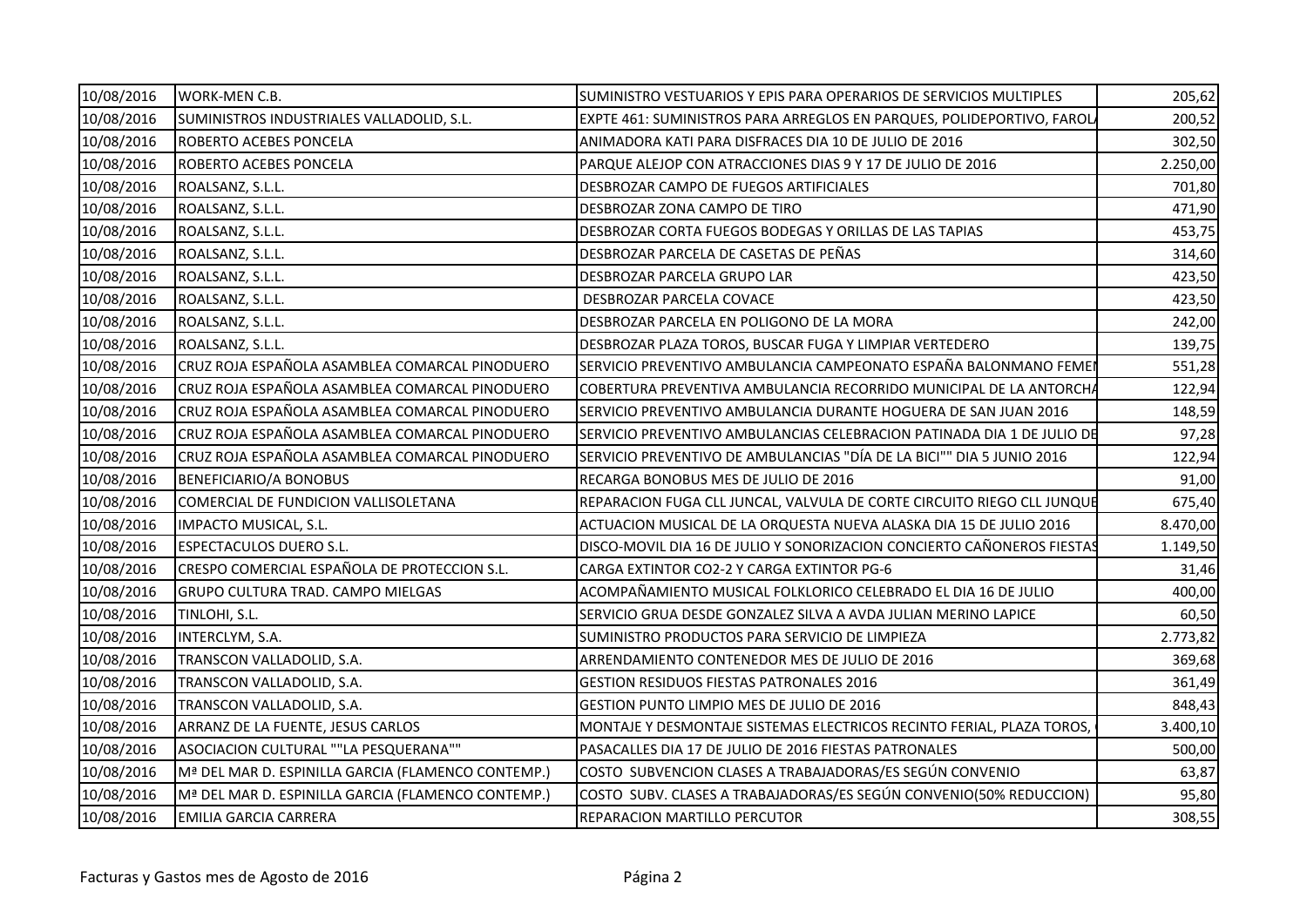| 10/08/2016 | WORK-MEN C.B.                                      | SUMINISTRO VESTUARIOS Y EPIS PARA OPERARIOS DE SERVICIOS MULTIPLES     | 205,62   |
|------------|----------------------------------------------------|------------------------------------------------------------------------|----------|
| 10/08/2016 | SUMINISTROS INDUSTRIALES VALLADOLID, S.L.          | EXPTE 461: SUMINISTROS PARA ARREGLOS EN PARQUES, POLIDEPORTIVO, FAROL  | 200,52   |
| 10/08/2016 | <b>ROBERTO ACEBES PONCELA</b>                      | ANIMADORA KATI PARA DISFRACES DIA 10 DE JULIO DE 2016                  | 302,50   |
| 10/08/2016 | <b>ROBERTO ACEBES PONCELA</b>                      | PARQUE ALEJOP CON ATRACCIONES DIAS 9 Y 17 DE JULIO DE 2016             | 2.250,00 |
| 10/08/2016 | ROALSANZ, S.L.L.                                   | DESBROZAR CAMPO DE FUEGOS ARTIFICIALES                                 | 701,80   |
| 10/08/2016 | ROALSANZ, S.L.L.                                   | DESBROZAR ZONA CAMPO DE TIRO                                           | 471,90   |
| 10/08/2016 | ROALSANZ, S.L.L.                                   | DESBROZAR CORTA FUEGOS BODEGAS Y ORILLAS DE LAS TAPIAS                 | 453,75   |
| 10/08/2016 | ROALSANZ, S.L.L.                                   | DESBROZAR PARCELA DE CASETAS DE PEÑAS                                  | 314,60   |
| 10/08/2016 | ROALSANZ, S.L.L.                                   | DESBROZAR PARCELA GRUPO LAR                                            | 423,50   |
| 10/08/2016 | ROALSANZ, S.L.L.                                   | DESBROZAR PARCELA COVACE                                               | 423,50   |
| 10/08/2016 | ROALSANZ, S.L.L.                                   | DESBROZAR PARCELA EN POLIGONO DE LA MORA                               | 242,00   |
| 10/08/2016 | ROALSANZ, S.L.L.                                   | DESBROZAR PLAZA TOROS, BUSCAR FUGA Y LIMPIAR VERTEDERO                 | 139,75   |
| 10/08/2016 | CRUZ ROJA ESPAÑOLA ASAMBLEA COMARCAL PINODUERO     | SERVICIO PREVENTIVO AMBULANCIA CAMPEONATO ESPAÑA BALONMANO FEMEN       | 551,28   |
| 10/08/2016 | CRUZ ROJA ESPAÑOLA ASAMBLEA COMARCAL PINODUERO     | COBERTURA PREVENTIVA AMBULANCIA RECORRIDO MUNICIPAL DE LA ANTORCHA     | 122,94   |
| 10/08/2016 | CRUZ ROJA ESPAÑOLA ASAMBLEA COMARCAL PINODUERO     | SERVICIO PREVENTIVO AMBULANCIA DURANTE HOGUERA DE SAN JUAN 2016        | 148,59   |
| 10/08/2016 | CRUZ ROJA ESPAÑOLA ASAMBLEA COMARCAL PINODUERO     | SERVICIO PREVENTIVO AMBULANCIAS CELEBRACION PATINADA DIA 1 DE JULIO DE | 97,28    |
| 10/08/2016 | CRUZ ROJA ESPAÑOLA ASAMBLEA COMARCAL PINODUERO     | SERVICIO PREVENTIVO DE AMBULANCIAS "DÍA DE LA BICI"" DIA 5 JUNIO 2016  | 122,94   |
| 10/08/2016 | BENEFICIARIO/A BONOBUS                             | RECARGA BONOBUS MES DE JULIO DE 2016                                   | 91,00    |
| 10/08/2016 | COMERCIAL DE FUNDICION VALLISOLETANA               | REPARACION FUGA CLL JUNCAL, VALVULA DE CORTE CIRCUITO RIEGO CLL JUNQUE | 675,40   |
| 10/08/2016 | IMPACTO MUSICAL, S.L.                              | ACTUACION MUSICAL DE LA ORQUESTA NUEVA ALASKA DIA 15 DE JULIO 2016     | 8.470,00 |
| 10/08/2016 | <b>ESPECTACULOS DUERO S.L.</b>                     | DISCO-MOVIL DIA 16 DE JULIO Y SONORIZACION CONCIERTO CAÑONEROS FIESTAS | 1.149,50 |
| 10/08/2016 | CRESPO COMERCIAL ESPAÑOLA DE PROTECCION S.L.       | CARGA EXTINTOR CO2-2 Y CARGA EXTINTOR PG-6                             | 31,46    |
| 10/08/2016 | <b>GRUPO CULTURA TRAD. CAMPO MIELGAS</b>           | ACOMPAÑAMIENTO MUSICAL FOLKLORICO CELEBRADO EL DIA 16 DE JULIO         | 400,00   |
| 10/08/2016 | TINLOHI, S.L.                                      | SERVICIO GRUA DESDE GONZALEZ SILVA A AVDA JULIAN MERINO LAPICE         | 60,50    |
| 10/08/2016 | INTERCLYM, S.A.                                    | SUMINISTRO PRODUCTOS PARA SERVICIO DE LIMPIEZA                         | 2.773,82 |
| 10/08/2016 | TRANSCON VALLADOLID, S.A.                          | ARRENDAMIENTO CONTENEDOR MES DE JULIO DE 2016                          | 369,68   |
| 10/08/2016 | TRANSCON VALLADOLID, S.A.                          | <b>GESTION RESIDUOS FIESTAS PATRONALES 2016</b>                        | 361,49   |
| 10/08/2016 | TRANSCON VALLADOLID, S.A.                          | GESTION PUNTO LIMPIO MES DE JULIO DE 2016                              | 848,43   |
| 10/08/2016 | ARRANZ DE LA FUENTE, JESUS CARLOS                  | MONTAJE Y DESMONTAJE SISTEMAS ELECTRICOS RECINTO FERIAL, PLAZA TOROS,  | 3.400,10 |
| 10/08/2016 | ASOCIACION CULTURAL ""LA PESQUERANA""              | PASACALLES DIA 17 DE JULIO DE 2016 FIESTAS PATRONALES                  | 500,00   |
| 10/08/2016 | Mª DEL MAR D. ESPINILLA GARCIA (FLAMENCO CONTEMP.) | COSTO SUBVENCION CLASES A TRABAJADORAS/ES SEGÚN CONVENIO               | 63,87    |
| 10/08/2016 | Mª DEL MAR D. ESPINILLA GARCIA (FLAMENCO CONTEMP.) | COSTO SUBV. CLASES A TRABAJADORAS/ES SEGÚN CONVENIO(50% REDUCCION)     | 95,80    |
| 10/08/2016 | <b>EMILIA GARCIA CARRERA</b>                       | REPARACION MARTILLO PERCUTOR                                           | 308,55   |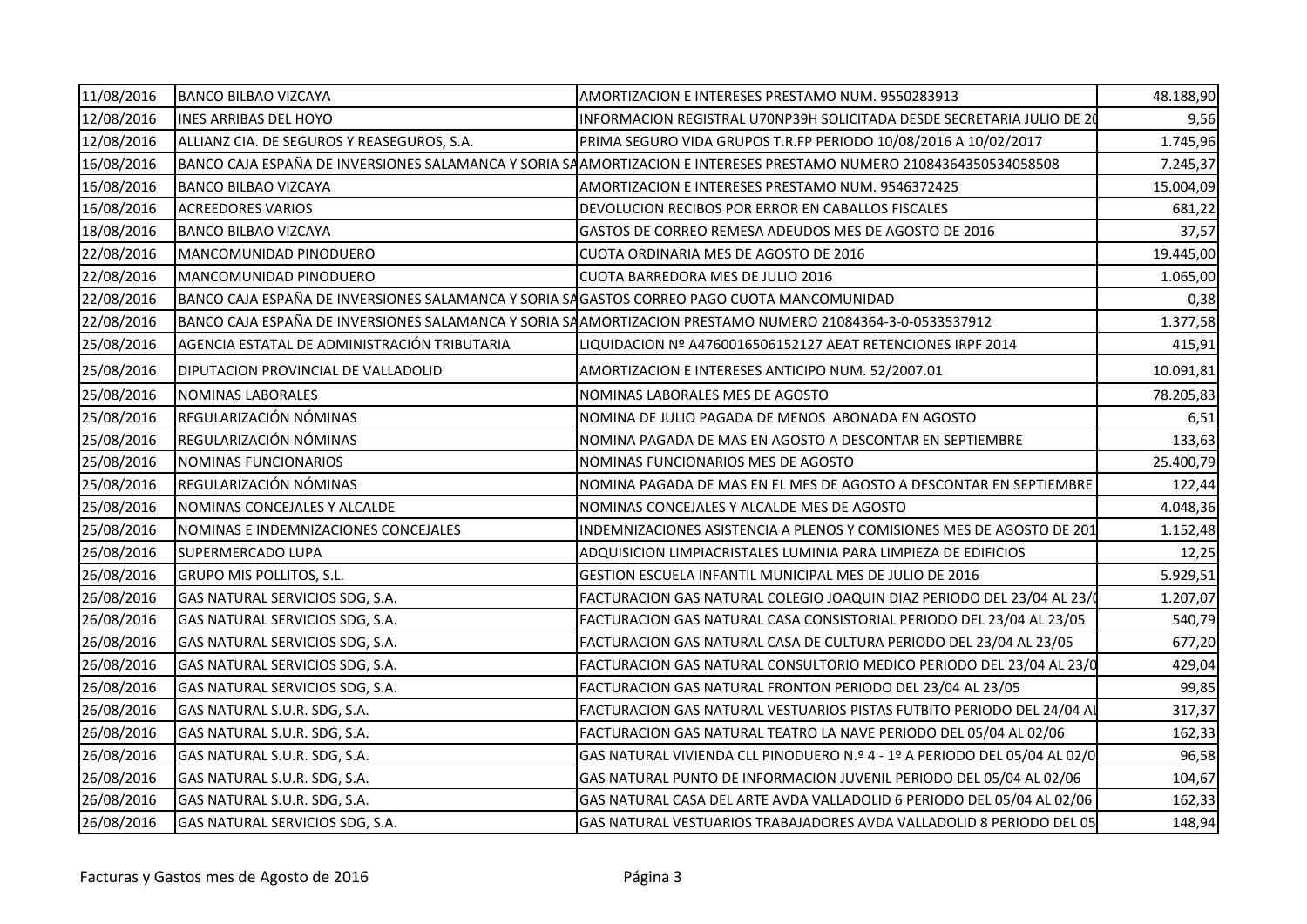| 11/08/2016 | <b>BANCO BILBAO VIZCAYA</b>                                                                | AMORTIZACION E INTERESES PRESTAMO NUM. 9550283913                                                                  | 48.188,90 |
|------------|--------------------------------------------------------------------------------------------|--------------------------------------------------------------------------------------------------------------------|-----------|
| 12/08/2016 | <b>INES ARRIBAS DEL HOYO</b>                                                               | INFORMACION REGISTRAL U70NP39H SOLICITADA DESDE SECRETARIA JULIO DE 2(                                             | 9,56      |
| 12/08/2016 | ALLIANZ CIA. DE SEGUROS Y REASEGUROS, S.A.                                                 | PRIMA SEGURO VIDA GRUPOS T.R.FP PERIODO 10/08/2016 A 10/02/2017                                                    | 1.745,96  |
| 16/08/2016 |                                                                                            | BANCO CAJA ESPAÑA DE INVERSIONES SALAMANCA Y SORIA SAAMORTIZACION E INTERESES PRESTAMO NUMERO 21084364350534058508 | 7.245,37  |
| 16/08/2016 | <b>BANCO BILBAO VIZCAYA</b>                                                                | AMORTIZACION E INTERESES PRESTAMO NUM. 9546372425                                                                  | 15.004,09 |
| 16/08/2016 | <b>ACREEDORES VARIOS</b>                                                                   | DEVOLUCION RECIBOS POR ERROR EN CABALLOS FISCALES                                                                  | 681,22    |
| 18/08/2016 | <b>BANCO BILBAO VIZCAYA</b>                                                                | GASTOS DE CORREO REMESA ADEUDOS MES DE AGOSTO DE 2016                                                              | 37,57     |
| 22/08/2016 | MANCOMUNIDAD PINODUERO                                                                     | CUOTA ORDINARIA MES DE AGOSTO DE 2016                                                                              | 19.445,00 |
| 22/08/2016 | MANCOMUNIDAD PINODUERO                                                                     | CUOTA BARREDORA MES DE JULIO 2016                                                                                  | 1.065,00  |
| 22/08/2016 | BANCO CAJA ESPAÑA DE INVERSIONES SALAMANCA Y SORIA SAGASTOS CORREO PAGO CUOTA MANCOMUNIDAD |                                                                                                                    | 0,38      |
| 22/08/2016 |                                                                                            | BANCO CAJA ESPAÑA DE INVERSIONES SALAMANCA Y SORIA SAAMORTIZACION PRESTAMO NUMERO 21084364-3-0-0533537912          | 1.377,58  |
| 25/08/2016 | AGENCIA ESTATAL DE ADMINISTRACIÓN TRIBUTARIA                                               | LIQUIDACION № A4760016506152127 AEAT RETENCIONES IRPF 2014                                                         | 415,91    |
| 25/08/2016 | DIPUTACION PROVINCIAL DE VALLADOLID                                                        | AMORTIZACION E INTERESES ANTICIPO NUM. 52/2007.01                                                                  | 10.091,81 |
| 25/08/2016 | NOMINAS LABORALES                                                                          | NOMINAS LABORALES MES DE AGOSTO                                                                                    | 78.205,83 |
| 25/08/2016 | REGULARIZACIÓN NÓMINAS                                                                     | NOMINA DE JULIO PAGADA DE MENOS ABONADA EN AGOSTO                                                                  | 6,51      |
| 25/08/2016 | REGULARIZACIÓN NÓMINAS                                                                     | INOMINA PAGADA DE MAS EN AGOSTO A DESCONTAR EN SEPTIEMBRE                                                          | 133,63    |
| 25/08/2016 | NOMINAS FUNCIONARIOS                                                                       | NOMINAS FUNCIONARIOS MES DE AGOSTO                                                                                 | 25.400,79 |
| 25/08/2016 | REGULARIZACIÓN NÓMINAS                                                                     | INOMINA PAGADA DE MAS EN EL MES DE AGOSTO A DESCONTAR EN SEPTIEMBRE                                                | 122,44    |
| 25/08/2016 | NOMINAS CONCEJALES Y ALCALDE                                                               | NOMINAS CONCEJALES Y ALCALDE MES DE AGOSTO                                                                         | 4.048,36  |
| 25/08/2016 | NOMINAS E INDEMNIZACIONES CONCEJALES                                                       | INDEMNIZACIONES ASISTENCIA A PLENOS Y COMISIONES MES DE AGOSTO DE 201                                              | 1.152,48  |
| 26/08/2016 | <b>SUPERMERCADO LUPA</b>                                                                   | ADQUISICION LIMPIACRISTALES LUMINIA PARA LIMPIEZA DE EDIFICIOS                                                     | 12,25     |
| 26/08/2016 | <b>GRUPO MIS POLLITOS, S.L.</b>                                                            | GESTION ESCUELA INFANTIL MUNICIPAL MES DE JULIO DE 2016                                                            | 5.929,51  |
| 26/08/2016 | GAS NATURAL SERVICIOS SDG, S.A.                                                            | FACTURACION GAS NATURAL COLEGIO JOAQUIN DIAZ PERIODO DEL 23/04 AL 23/(                                             | 1.207,07  |
| 26/08/2016 | GAS NATURAL SERVICIOS SDG, S.A.                                                            | FACTURACION GAS NATURAL CASA CONSISTORIAL PERIODO DEL 23/04 AL 23/05                                               | 540,79    |
| 26/08/2016 | GAS NATURAL SERVICIOS SDG, S.A.                                                            | FACTURACION GAS NATURAL CASA DE CULTURA PERIODO DEL 23/04 AL 23/05                                                 | 677,20    |
| 26/08/2016 | GAS NATURAL SERVICIOS SDG, S.A.                                                            | FACTURACION GAS NATURAL CONSULTORIO MEDICO PERIODO DEL 23/04 AL 23/0                                               | 429,04    |
| 26/08/2016 | GAS NATURAL SERVICIOS SDG, S.A.                                                            | FACTURACION GAS NATURAL FRONTON PERIODO DEL 23/04 AL 23/05                                                         | 99,85     |
| 26/08/2016 | GAS NATURAL S.U.R. SDG, S.A.                                                               | FACTURACION GAS NATURAL VESTUARIOS PISTAS FUTBITO PERIODO DEL 24/04 AL                                             | 317,37    |
| 26/08/2016 | GAS NATURAL S.U.R. SDG, S.A.                                                               | FACTURACION GAS NATURAL TEATRO LA NAVE PERIODO DEL 05/04 AL 02/06                                                  | 162,33    |
| 26/08/2016 | GAS NATURAL S.U.R. SDG, S.A.                                                               | GAS NATURAL VIVIENDA CLL PINODUERO N.º 4 - 1º A PERIODO DEL 05/04 AL 02/0                                          | 96,58     |
| 26/08/2016 | GAS NATURAL S.U.R. SDG, S.A.                                                               | GAS NATURAL PUNTO DE INFORMACION JUVENIL PERIODO DEL 05/04 AL 02/06                                                | 104,67    |
| 26/08/2016 | GAS NATURAL S.U.R. SDG, S.A.                                                               | GAS NATURAL CASA DEL ARTE AVDA VALLADOLID 6 PERIODO DEL 05/04 AL 02/06                                             | 162,33    |
| 26/08/2016 | GAS NATURAL SERVICIOS SDG, S.A.                                                            | GAS NATURAL VESTUARIOS TRABAJADORES AVDA VALLADOLID 8 PERIODO DEL 05                                               | 148,94    |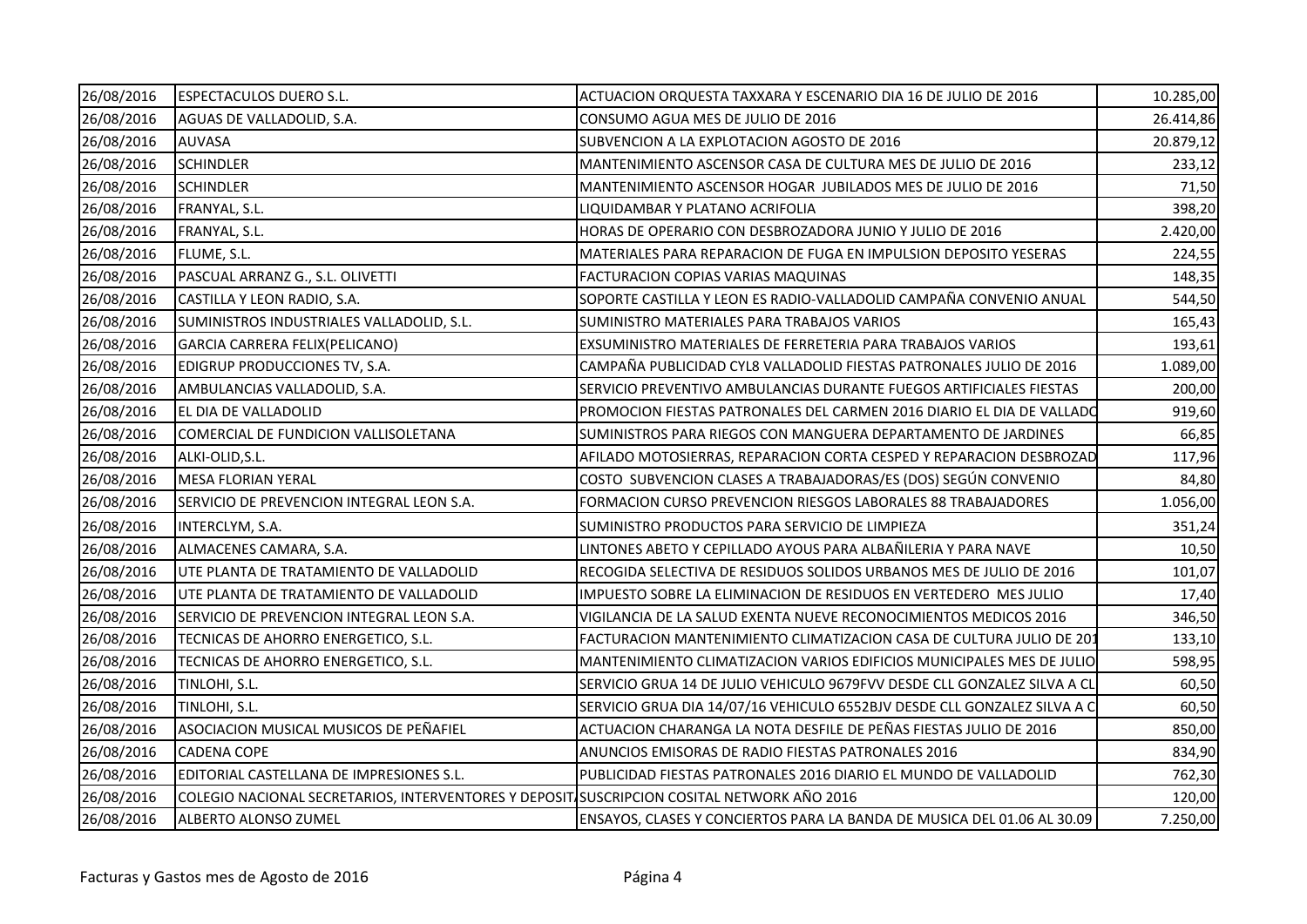| 26/08/2016 | <b>ESPECTACULOS DUERO S.L.</b>                                                             | ACTUACION ORQUESTA TAXXARA Y ESCENARIO DIA 16 DE JULIO DE 2016           | 10.285,00 |
|------------|--------------------------------------------------------------------------------------------|--------------------------------------------------------------------------|-----------|
| 26/08/2016 | AGUAS DE VALLADOLID, S.A.                                                                  | CONSUMO AGUA MES DE JULIO DE 2016                                        | 26.414,86 |
| 26/08/2016 | <b>AUVASA</b>                                                                              | SUBVENCION A LA EXPLOTACION AGOSTO DE 2016                               | 20.879,12 |
| 26/08/2016 | <b>SCHINDLER</b>                                                                           | MANTENIMIENTO ASCENSOR CASA DE CULTURA MES DE JULIO DE 2016              | 233,12    |
| 26/08/2016 | <b>SCHINDLER</b>                                                                           | MANTENIMIENTO ASCENSOR HOGAR JUBILADOS MES DE JULIO DE 2016              | 71,50     |
| 26/08/2016 | FRANYAL, S.L.                                                                              | LIQUIDAMBAR Y PLATANO ACRIFOLIA                                          | 398,20    |
| 26/08/2016 | FRANYAL, S.L.                                                                              | HORAS DE OPERARIO CON DESBROZADORA JUNIO Y JULIO DE 2016                 | 2.420,00  |
| 26/08/2016 | FLUME, S.L.                                                                                | MATERIALES PARA REPARACION DE FUGA EN IMPULSION DEPOSITO YESERAS         | 224,55    |
| 26/08/2016 | PASCUAL ARRANZ G., S.L. OLIVETTI                                                           | FACTURACION COPIAS VARIAS MAQUINAS                                       | 148,35    |
| 26/08/2016 | CASTILLA Y LEON RADIO, S.A.                                                                | SOPORTE CASTILLA Y LEON ES RADIO-VALLADOLID CAMPAÑA CONVENIO ANUAL       | 544,50    |
| 26/08/2016 | SUMINISTROS INDUSTRIALES VALLADOLID, S.L.                                                  | SUMINISTRO MATERIALES PARA TRABAJOS VARIOS                               | 165,43    |
| 26/08/2016 | GARCIA CARRERA FELIX(PELICANO)                                                             | EXSUMINISTRO MATERIALES DE FERRETERIA PARA TRABAJOS VARIOS               | 193,61    |
| 26/08/2016 | EDIGRUP PRODUCCIONES TV, S.A.                                                              | CAMPAÑA PUBLICIDAD CYL8 VALLADOLID FIESTAS PATRONALES JULIO DE 2016      | 1.089,00  |
| 26/08/2016 | AMBULANCIAS VALLADOLID, S.A.                                                               | SERVICIO PREVENTIVO AMBULANCIAS DURANTE FUEGOS ARTIFICIALES FIESTAS      | 200,00    |
| 26/08/2016 | EL DIA DE VALLADOLID                                                                       | PROMOCION FIESTAS PATRONALES DEL CARMEN 2016 DIARIO EL DIA DE VALLADO    | 919,60    |
| 26/08/2016 | COMERCIAL DE FUNDICION VALLISOLETANA                                                       | SUMINISTROS PARA RIEGOS CON MANGUERA DEPARTAMENTO DE JARDINES            | 66,85     |
| 26/08/2016 | ALKI-OLID, S.L.                                                                            | AFILADO MOTOSIERRAS, REPARACION CORTA CESPED Y REPARACION DESBROZAD      | 117,96    |
| 26/08/2016 | <b>MESA FLORIAN YERAL</b>                                                                  | COSTO SUBVENCION CLASES A TRABAJADORAS/ES (DOS) SEGÚN CONVENIO           | 84,80     |
| 26/08/2016 | SERVICIO DE PREVENCION INTEGRAL LEON S.A.                                                  | FORMACION CURSO PREVENCION RIESGOS LABORALES 88 TRABAJADORES             | 1.056,00  |
| 26/08/2016 | INTERCLYM, S.A.                                                                            | SUMINISTRO PRODUCTOS PARA SERVICIO DE LIMPIEZA                           | 351,24    |
| 26/08/2016 | ALMACENES CAMARA, S.A.                                                                     | LINTONES ABETO Y CEPILLADO AYOUS PARA ALBAÑILERIA Y PARA NAVE            | 10,50     |
| 26/08/2016 | UTE PLANTA DE TRATAMIENTO DE VALLADOLID                                                    | RECOGIDA SELECTIVA DE RESIDUOS SOLIDOS URBANOS MES DE JULIO DE 2016      | 101,07    |
| 26/08/2016 | UTE PLANTA DE TRATAMIENTO DE VALLADOLID                                                    | IMPUESTO SOBRE LA ELIMINACION DE RESIDUOS EN VERTEDERO MES JULIO         | 17,40     |
| 26/08/2016 | SERVICIO DE PREVENCION INTEGRAL LEON S.A.                                                  | VIGILANCIA DE LA SALUD EXENTA NUEVE RECONOCIMIENTOS MEDICOS 2016         | 346,50    |
| 26/08/2016 | TECNICAS DE AHORRO ENERGETICO, S.L.                                                        | FACTURACION MANTENIMIENTO CLIMATIZACION CASA DE CULTURA JULIO DE 201     | 133,10    |
| 26/08/2016 | TECNICAS DE AHORRO ENERGETICO, S.L.                                                        | MANTENIMIENTO CLIMATIZACION VARIOS EDIFICIOS MUNICIPALES MES DE JULIO    | 598,95    |
| 26/08/2016 | TINLOHI, S.L.                                                                              | SERVICIO GRUA 14 DE JULIO VEHICULO 9679FVV DESDE CLL GONZALEZ SILVA A CL | 60,50     |
| 26/08/2016 | TINLOHI, S.L.                                                                              | SERVICIO GRUA DIA 14/07/16 VEHICULO 6552BJV DESDE CLL GONZALEZ SILVA A C | 60,50     |
| 26/08/2016 | ASOCIACION MUSICAL MUSICOS DE PEÑAFIEL                                                     | ACTUACION CHARANGA LA NOTA DESFILE DE PEÑAS FIESTAS JULIO DE 2016        | 850,00    |
| 26/08/2016 | <b>CADENA COPE</b>                                                                         | ANUNCIOS EMISORAS DE RADIO FIESTAS PATRONALES 2016                       | 834,90    |
| 26/08/2016 | EDITORIAL CASTELLANA DE IMPRESIONES S.L.                                                   | PUBLICIDAD FIESTAS PATRONALES 2016 DIARIO EL MUNDO DE VALLADOLID         | 762,30    |
| 26/08/2016 | COLEGIO NACIONAL SECRETARIOS, INTERVENTORES Y DEPOSIT SUSCRIPCION COSITAL NETWORK AÑO 2016 |                                                                          | 120,00    |
| 26/08/2016 | ALBERTO ALONSO ZUMEL                                                                       | ENSAYOS, CLASES Y CONCIERTOS PARA LA BANDA DE MUSICA DEL 01.06 AL 30.09  | 7.250,00  |